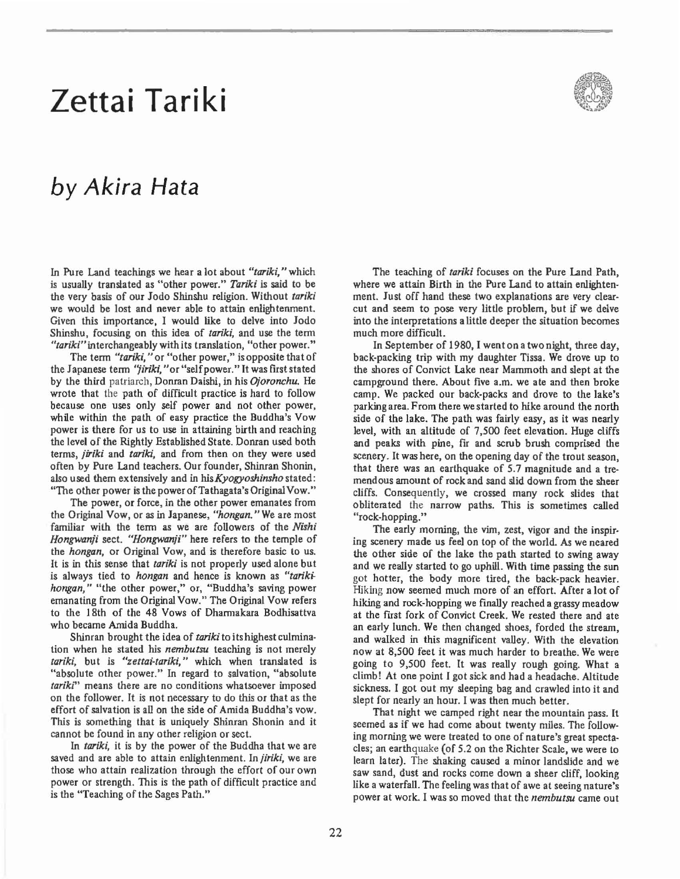## **Zettai Tariki**

## *by Akira Hata*

In Pure Land teachings we hear a lot about *"tariki,"* which **is usually translated as "other power."** *Tarik;* **is said to be**  the very basis of our Jodo Shinshu religion. Without *tariki*  we would be lost and never able to attain enlightenment. Given this importance, I would like to delve into Jodo Shinshu, focusing on this idea of *tariki,* and use the tenn *"tariki"* **interchangeably with its translation, Hather power."** 

**The tenn** *"tariki,"* **or "other power,"** is opposite **that of the Japanese term** *''liriki.* **U or** "self power. **"It was first stated**  by the third patriarch, Doncan Daisbi, in his *Ojoronchu.* He wrote that the path of difficult practice is hard to follow because one uses only self power and not other power, while within the path of easy practice the Buddha's Vow power is there for us to use in attaining birth and reaching the level of the Rightly Established State. Donran used both terms, *jiriki* and *tariki,* and from then on they were used often by Pure Land teachers. Our founder, Shiman Shonin, also used them extensively and in *his Kyogyoshinsho* stated: "The other power is the power of Tathagata's Original Vow."

**The power. or force, in the other power emanates from**  the Original Vow, or as in Japanese, *"hongan."* We are most familiar with the term as we are followers of the Nishi Hongwanji sect. "Hongwanji" here refers to the temple of the *hongan,* or Original Vow, and is therefore basic to us. It is in this sense that *tariki* is not properly used alone but is always tied to *hongan* and hence is known as *"tarikihongan*," "the other power," or, "Buddha's saving power emanating from the Original Vow." The Original Vow refers to the 18th of the 48 Vows of Dharmakara Bodhisattva who became Amida Buddha.

Shiman brought the idea of *tariki* to its highest culmina· tion when he stated his *nembutsu* teaching is not merely tariki, but is "zettai-tariki," which when translated is "absolute other power." In regard to salvation, "absolute *tariki"* **means there are no conditions whatsoever imposed**  on the follower. It is not necessary to do this or that as the effort of salvation is all on the side of Amida Buddha's vow. This is something that is uniquely Shinran Shonin and it cannot be found in any other religion or sect.

In *tariki,* it is by the power of the Buddha that we are saved and are able to attain enlightenment. In *jiriki,* we are those who attain realization through the effort of our own power or strength. This is the path of difficult practice and **is the "Teaching** of the **Sages Path."** 



The teaching of *tariki* focuses on the Pure Land Path, where we attain Birth in the Pure Land to attain enlighten· ment. Just off hand these two explanations are very clear· cut and seem to pose very little problem, but if we delve into the interpretations a little deeper the situation becomes much more difficult.

In September of 1980, I went on a two night, three day, back·packing trip with my daughter Tissa. We drove up to the shores of Convict Lake near Mammoth and slept at the campground there. About five a.m. we ate and then broke camp. We packed our back·packs and drove to the lake's parkingarea. From there we started to hike around the north side of the lake. The path was fairly easy, as it was nearly level, with an altitude of 7,500 feet elevation. Huge cliffs and peaks with pine, fir and scrub brush comprised the scenery. It was here, on the opening day of the trout season, that there was an earthquake of 5.7 magnitude and a tre· mendous amount of rock and sand slid down from the sheer cliffs. Consequently, we crossed many rock slides that obliterated the narrow paths. This is sometimes called **"rock-hopping."** 

**The early morning, the vim, zest, vigor and the inspir**ing scenery made us feel on top of the world. As we neared the other side of the lake the path started to swing away and we really started to go uphill. With time passing the sun got hotter, the body more tired, the back·pack heavier. Hiking now seemed much more of an effort. After a lot of hiking and rock·hopping we finally reached a grassy meadow at the first fork of Convict Creek. We rested there and ate an early lunch. We then changed shoes, forded the stream, and walked in this magnificent valley. With the elevation now at 8,500 feet it was much harder to breathe. We were going to 9,500 feet. It was really rough going. What a climb! At one point I got sick and had a headache. Altitude sickness. I got out my sleeping bag and crawled into it and slept for nearly an hour. I was then much better.

That night we camped right near the mountain pass. It seemed as if we had come about twenty miles. The follow· **ing morning we were treated to one of nature's great specta**cles; an earthquake (of 5.2 on the Richter Scale, we were to learn later). The shaking caused a minor landslide and we saw sand, dust and rocks come down a sheer cliff, looking like a waterfall. The feeling was that of awe at seeing nature's **power at work. I was so moved that the** *nembutsu* **came out**